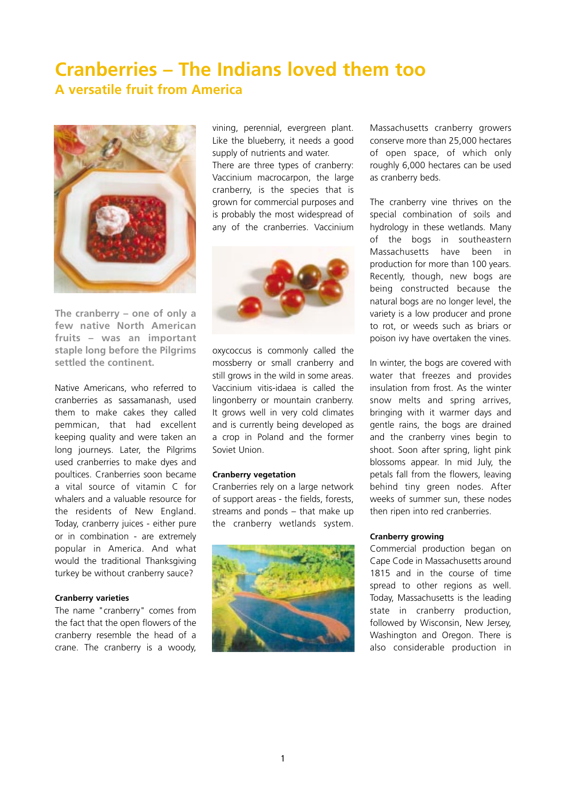# **Cranberries – The Indians loved them too A versatile fruit from America**



**The cranberry – one of only a few native North American fruits – was an important staple long before the Pilgrims settled the continent.** 

Native Americans, who referred to cranberries as sassamanash, used them to make cakes they called pemmican, that had excellent keeping quality and were taken an long journeys. Later, the Pilgrims used cranberries to make dyes and poultices. Cranberries soon became a vital source of vitamin C for whalers and a valuable resource for the residents of New England. Today, cranberry juices - either pure or in combination - are extremely popular in America. And what would the traditional Thanksgiving turkey be without cranberry sauce?

## **Cranberry varieties**

The name "cranberry" comes from the fact that the open flowers of the cranberry resemble the head of a crane. The cranberry is a woody,

vining, perennial, evergreen plant. Like the blueberry, it needs a good supply of nutrients and water. There are three types of cranberry: Vaccinium macrocarpon, the large cranberry, is the species that is

grown for commercial purposes and is probably the most widespread of any of the cranberries. Vaccinium



oxycoccus is commonly called the mossberry or small cranberry and still grows in the wild in some areas. Vaccinium vitis-idaea is called the lingonberry or mountain cranberry. It grows well in very cold climates and is currently being developed as a crop in Poland and the former Soviet Union.

### **Cranberry vegetation**

Cranberries rely on a large network of support areas - the fields, forests, streams and ponds – that make up the cranberry wetlands system.



Massachusetts cranberry growers conserve more than 25,000 hectares of open space, of which only roughly 6,000 hectares can be used as cranberry beds.

The cranberry vine thrives on the special combination of soils and hydrology in these wetlands. Many of the bogs in southeastern Massachusetts have been in production for more than 100 years. Recently, though, new bogs are being constructed because the natural bogs are no longer level, the variety is a low producer and prone to rot, or weeds such as briars or poison ivy have overtaken the vines.

In winter, the bogs are covered with water that freezes and provides insulation from frost. As the winter snow melts and spring arrives, bringing with it warmer days and gentle rains, the bogs are drained and the cranberry vines begin to shoot. Soon after spring, light pink blossoms appear. In mid July, the petals fall from the flowers, leaving behind tiny green nodes. After weeks of summer sun, these nodes then ripen into red cranberries.

#### **Cranberry growing**

Commercial production began on Cape Code in Massachusetts around 1815 and in the course of time spread to other regions as well. Today, Massachusetts is the leading state in cranberry production, followed by Wisconsin, New Jersey, Washington and Oregon. There is also considerable production in